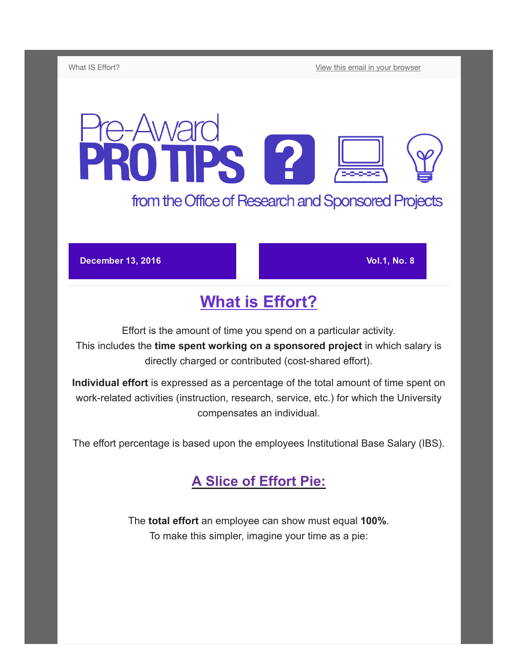What IS Effort? [View this email in your browser](http://us13.campaign-archive2.com/?u=da65d94a037c71fb992ffa034&id=093897d4ac&e=[UNIQID])

## Pre-Award PROTIPS 2 from the Office of Research and Sponsored Projects

**December 13, 2016** Vol.1, No. 8

## What is Effort?

Effort is the amount of time you spend on a particular activity. This includes the time spent working on a sponsored project in which salary is directly charged or contributed (cost-shared effort).

Individual effort is expressed as a percentage of the total amount of time spent on work-related activities (instruction, research, service, etc.) for which the University compensates an individual.

The effort percentage is based upon the employees Institutional Base Salary (IBS).

## A Slice of Effort Pie:

The total effort an employee can show must equal 100%. To make this simpler, imagine your time as a pie: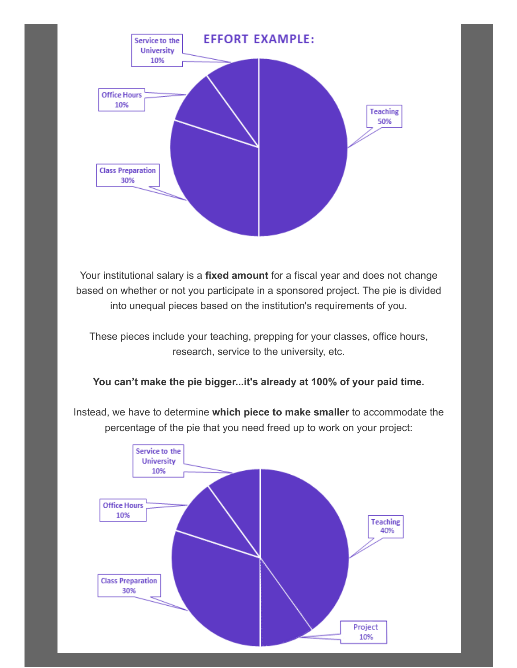

Your institutional salary is a fixed amount for a fiscal year and does not change based on whether or not you participate in a sponsored project. The pie is divided into unequal pieces based on the institution's requirements of you.

These pieces include your teaching, prepping for your classes, office hours, research, service to the university, etc.

You can't make the pie bigger...it's already at 100% of your paid time.

Instead, we have to determine which piece to make smaller to accommodate the percentage of the pie that you need freed up to work on your project: